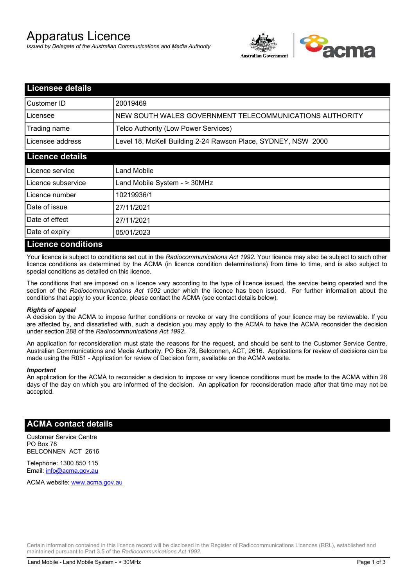# Apparatus Licence

*Issued by Delegate of the Australian Communications and Media Authority*



| <b>Licensee details</b>   |                                                               |
|---------------------------|---------------------------------------------------------------|
| Customer ID               | 20019469                                                      |
| Licensee                  | NEW SOUTH WALES GOVERNMENT TELECOMMUNICATIONS AUTHORITY       |
| Trading name              | Telco Authority (Low Power Services)                          |
| Licensee address          | Level 18, McKell Building 2-24 Rawson Place, SYDNEY, NSW 2000 |
| <b>Licence details</b>    |                                                               |
| Licence service           | Land Mobile                                                   |
| Licence subservice        | Land Mobile System - > 30MHz                                  |
| Licence number            | 10219936/1                                                    |
| Date of issue             | 27/11/2021                                                    |
| Date of effect            | 27/11/2021                                                    |
| Date of expiry            | 05/01/2023                                                    |
| <b>Licence conditions</b> |                                                               |

Your licence is subject to conditions set out in the *Radiocommunications Act 1992*. Your licence may also be subject to such other licence conditions as determined by the ACMA (in licence condition determinations) from time to time, and is also subject to special conditions as detailed on this licence.

The conditions that are imposed on a licence vary according to the type of licence issued, the service being operated and the section of the *Radiocommunications Act 1992* under which the licence has been issued. For further information about the conditions that apply to your licence, please contact the ACMA (see contact details below).

#### *Rights of appeal*

A decision by the ACMA to impose further conditions or revoke or vary the conditions of your licence may be reviewable. If you are affected by, and dissatisfied with, such a decision you may apply to the ACMA to have the ACMA reconsider the decision under section 288 of the *Radiocommunications Act 1992*.

An application for reconsideration must state the reasons for the request, and should be sent to the Customer Service Centre, Australian Communications and Media Authority, PO Box 78, Belconnen, ACT, 2616. Applications for review of decisions can be made using the R051 - Application for review of Decision form, available on the ACMA website.

#### *Important*

An application for the ACMA to reconsider a decision to impose or vary licence conditions must be made to the ACMA within 28 days of the day on which you are informed of the decision. An application for reconsideration made after that time may not be accepted.

#### **ACMA contact details**

Customer Service Centre PO Box 78 BELCONNEN ACT 2616

Telephone: 1300 850 115 Email: info@acma.gov.au

ACMA website: www.acma.gov.au

Certain information contained in this licence record will be disclosed in the Register of Radiocommunications Licences (RRL), established and maintained pursuant to Part 3.5 of the *Radiocommunications Act 1992.*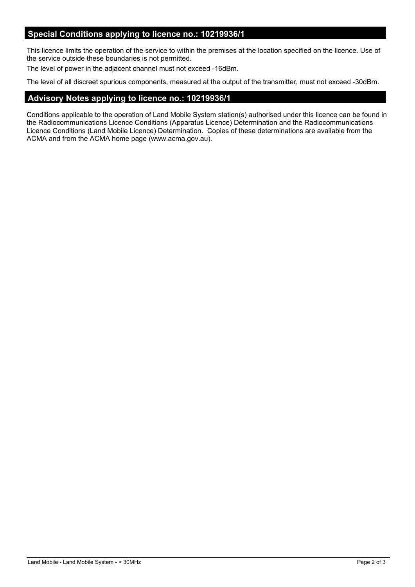#### **Special Conditions applying to licence no.: 10219936/1**

This licence limits the operation of the service to within the premises at the location specified on the licence. Use of the service outside these boundaries is not permitted.

The level of power in the adjacent channel must not exceed -16dBm.

The level of all discreet spurious components, measured at the output of the transmitter, must not exceed -30dBm.

## **Advisory Notes applying to licence no.: 10219936/1**

Conditions applicable to the operation of Land Mobile System station(s) authorised under this licence can be found in the Radiocommunications Licence Conditions (Apparatus Licence) Determination and the Radiocommunications Licence Conditions (Land Mobile Licence) Determination. Copies of these determinations are available from the ACMA and from the ACMA home page (www.acma.gov.au).